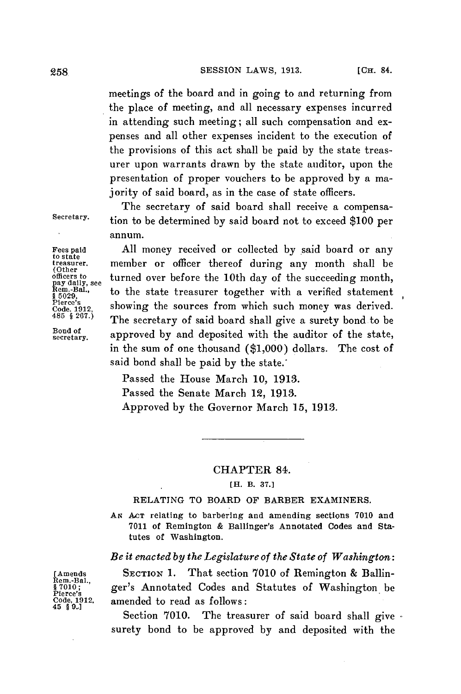meetings of the board and in going to and returning from the place of meeting, and all necessary expenses incurred in attending such meeting; all such compensation and expenses and all other expenses incident to the execution of the provisions of this act shall be paid **by** the state treasurer upon warrants drawn **by** the state auditor, upon the presentation of proper vouchers to be approved **by** a majority of said board, as in the case of state officers.

The secretary of said board shall receive a compensa-Secretary. tion to be determined **by** said board not to exceed **\$100** per annum.

Fees paid All money received or collected by said board or any to state thereof during any month shall be officers to turned over before the 10th day of the succeeding month, pay daily, see the state treasurer together wit officers to turned over before the 10th day of the succeeding month,  $R_{\text{non}}$ , to the state treasurer together with a verified statement  $R_{\text{5029}}$ , to the state treasurer together with a verified statement **15029**, s 5029,<br>Pierce's showing the sources from which such money was derived.<br>Code. 1912, showing the sources from which such money was derived. <sup>2485</sup> § 267.) The secretary of said board shall give a surety bond to be<br>
<sup>Bond of</sup> approved by and deposited with the auditor of the state secretary. approved **by** and deposited with the auditor of the state, in the sum of one thousand **(\$1,000)** dollars. The cost of said bond shall be paid **by** the state.'

> Passed the House March **10, 1913.** Passed the Senate March 12, **1913.** Approved **by** the Governor March **15, 1913.**

## CHAPTER 84.

## [H. B. **37.]**

## **RELATING** TO BOARD OF BARBER EXAMINERS.

*AN AcT* relating to barbering and amending sections **7010** and **7011** of Remington **&** Ballinger's Annotated Codes and Statutes of Washington.

## *Be it enacted by the Legislature of the State of Washington:*

[Amends **SECTION 1.** That section **7010** of Remington **&** Ballin-\$7010;"<br>Pierce's Annotated Codes and Statutes of Washington be<br>Code 1912. **Invended to read as follows**: Code, **1912,** amended to read as follows: <sup>45</sup>**9..]**

The treasurer of said board shall give surety bond to be approved **by** and deposited with the

Řem.-Bal.,<br>§ 7010 ;